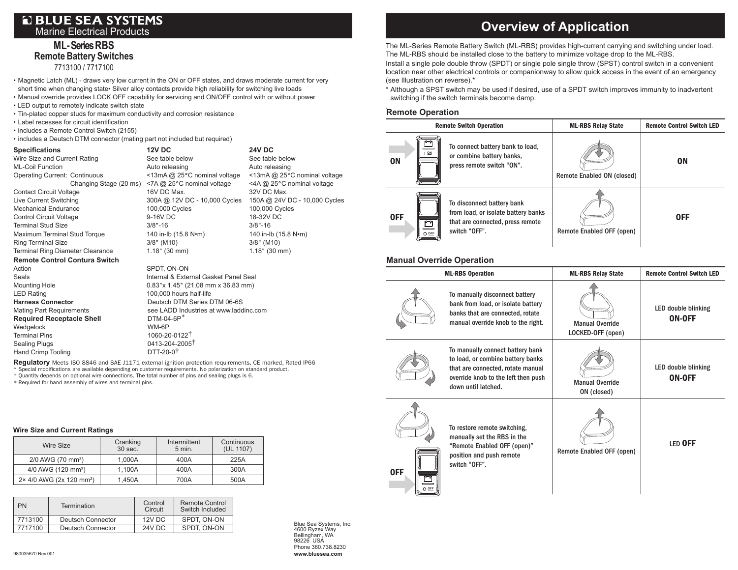## **OBLUE SEA SYSTEMS** Marine Electrical Products

## **ML- Series RBS Remote Battery Switches** 7713100 / 7717100

• Magnetic Latch (ML) - draws very low current in the ON or OFF states, and draws moderate current for very short time when changing state• Silver alloy contacts provide high reliability for switching live loads

- Manual override provides LOCK OFF capability for servicing and ON/OFF control with or without power
- LED output to remotely indicate switch state
- Tin-plated copper studs for maximum conductivity and corrosion resistance
- Label recesses for circuit identification
- includes a Remote Control Switch (2155)
- includes a Deutsch DTM connector (mating part not included but required)

| <b>Specifications</b>                   | <b>12V DC</b>                          | <b>24V DC</b>                 |  |
|-----------------------------------------|----------------------------------------|-------------------------------|--|
| Wire Size and Current Rating            | See table below                        | See table below               |  |
| <b>ML-Coil Function</b>                 | Auto releasing                         | Auto releasing                |  |
| <b>Operating Current: Continuous</b>    | <13mA @ 25°C nominal voltage           | <13mA @ 25°C nominal voltage  |  |
| Changing Stage (20 ms)                  | <7A @ 25°C nominal voltage             | <4A @ 25°C nominal voltage    |  |
| <b>Contact Circuit Voltage</b>          | 16V DC Max.                            | 32V DC Max.                   |  |
| Live Current Switching                  | 300A @ 12V DC - 10,000 Cycles          | 150A @ 24V DC - 10,000 Cycles |  |
| <b>Mechanical Endurance</b>             | 100,000 Cycles                         | 100,000 Cycles                |  |
| <b>Control Circuit Voltage</b>          | 9-16V DC                               | 18-32V DC                     |  |
| <b>Terminal Stud Size</b>               | $3/8$ "-16                             | $3/8$ "-16                    |  |
| Maximum Terminal Stud Torque            | 140 in-lb (15.8 N•m)                   | 140 in-lb (15.8 N•m)          |  |
| <b>Ring Terminal Size</b>               | $3/8"$ (M10)                           | $3/8$ " (M10)                 |  |
| <b>Terminal Ring Diameter Clearance</b> | $1.18"$ (30 mm)                        | $1.18"$ (30 mm)               |  |
| <b>Remote Control Contura Switch</b>    |                                        |                               |  |
| Action                                  | SPDT, ON-ON                            |                               |  |
| Seals                                   | Internal & External Gasket Panel Seal  |                               |  |
| <b>Mounting Hole</b>                    | 0.83"x 1.45" (21.08 mm x 36.83 mm)     |                               |  |
| <b>LED Rating</b>                       | 100,000 hours half-life                |                               |  |
| <b>Harness Connector</b>                | Deutsch DTM Series DTM 06-6S           |                               |  |
| <b>Mating Part Requirements</b>         | see LADD Industries at www.laddinc.com |                               |  |
| <b>Required Receptacle Shell</b>        | $DTM-04-6P*$                           |                               |  |
| Wedgelock                               | WM-6P                                  |                               |  |
| <b>Terminal Pins</b>                    | 1060-20-0122 <sup>+</sup>              |                               |  |
| <b>Sealing Plugs</b>                    | 0413-204-2005 <sup>+</sup>             |                               |  |
| Hand Crimp Tooling                      | DTT-20-0 <sup>+</sup>                  |                               |  |

**Regulatory** Meets ISO 8846 and SAE J1171 external ignition protection requirements, CE marked, Rated IP66 \* Special modifications are available depending on customer requirements. No polarization on standard product. † Quantity depends on optional wire connections. The total number of pins and sealing plugs is 6.

‡ Required for hand assembly of wires and terminal pins.

#### **Wire Size and Current Ratings**

| Wire Size                            | Cranking<br>30 sec. | Intermittent<br>$5$ min. | Continuous<br>(UL 1107) |
|--------------------------------------|---------------------|--------------------------|-------------------------|
| 2/0 AWG (70 mm <sup>2</sup> )        | 1.000A              | 400A                     | 225A                    |
| 4/0 AWG (120 mm <sup>2</sup> )       | 1.100A              | 400A                     | 300A                    |
| 2× 4/0 AWG (2x 120 mm <sup>2</sup> ) | 1.450A              | 700A                     | 500A                    |

| PN      | <b>Termination</b> | Control<br>Circuit | <b>Remote Control</b><br>Switch Included |
|---------|--------------------|--------------------|------------------------------------------|
| 7713100 | Deutsch Connector  | $12V$ DC.          | SPDT. ON-ON                              |
| 7717100 | Deutsch Connector  | <b>24V DC</b>      | SPDT. ON-ON                              |

Blue Sea Systems, Inc. 4600 Ryzex Way Bellingham, WA 98226 USA Phone 360.738.8230 **www.bluesea.com**

# **Overview of Application**

The ML-Series Remote Battery Switch (ML-RBS) provides high-current carrying and switching under load. The ML-RBS should be installed close to the battery to minimize voltage drop to the ML-RBS.

Install a single pole double throw (SPDT) or single pole single throw (SPST) control switch in a convenient location near other electrical controls or companionway to allow quick access in the event of an emergency (see Illustration on reverse).\*

\* Although a SPST switch may be used if desired, use of a SPDT switch improves immunity to inadvertent switching if the switch terminals become damp.

# . **Remote Operation**

| <b>Remote Switch Operation</b> |                                                                                                                        | <b>ML-RBS Relay State</b>  | <b>Remote Control Switch LED</b> |
|--------------------------------|------------------------------------------------------------------------------------------------------------------------|----------------------------|----------------------------------|
| $_{ON}$<br><b>ON</b>           | To connect battery bank to load,<br>or combine battery banks,<br>press remote switch "ON".                             | Remote Enabled ON (closed) | <b>ON</b>                        |
| OFF.<br>O OFF                  | To disconnect battery bank<br>from load, or isolate battery banks<br>that are connected, press remote<br>switch "OFF". | Remote Enabled OFF (open)  | <b>OFF</b>                       |

### **Manual Override Operation**